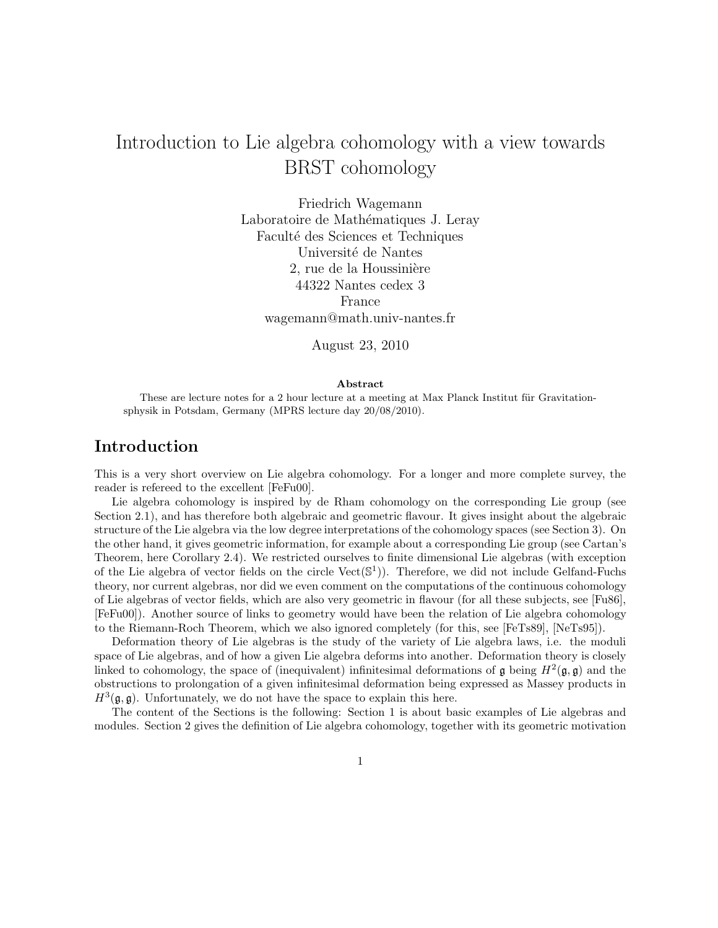# Introduction to Lie algebra cohomology with a view towards BRST cohomology

Friedrich Wagemann Laboratoire de Mathématiques J. Leray Faculté des Sciences et Techniques Université de Nantes 2, rue de la Houssinière 44322 Nantes cedex 3 France wagemann@math.univ-nantes.fr

August 23, 2010

#### Abstract

These are lecture notes for a 2 hour lecture at a meeting at Max Planck Institut für Gravitationsphysik in Potsdam, Germany (MPRS lecture day 20/08/2010).

# Introduction

This is a very short overview on Lie algebra cohomology. For a longer and more complete survey, the reader is refereed to the excellent [FeFu00].

Lie algebra cohomology is inspired by de Rham cohomology on the corresponding Lie group (see Section 2.1), and has therefore both algebraic and geometric flavour. It gives insight about the algebraic structure of the Lie algebra via the low degree interpretations of the cohomology spaces (see Section 3). On the other hand, it gives geometric information, for example about a corresponding Lie group (see Cartan's Theorem, here Corollary 2.4). We restricted ourselves to finite dimensional Lie algebras (with exception of the Lie algebra of vector fields on the circle Vect(S 1 )). Therefore, we did not include Gelfand-Fuchs theory, nor current algebras, nor did we even comment on the computations of the continuous cohomology of Lie algebras of vector fields, which are also very geometric in flavour (for all these subjects, see [Fu86], [FeFu00]). Another source of links to geometry would have been the relation of Lie algebra cohomology to the Riemann-Roch Theorem, which we also ignored completely (for this, see [FeTs89], [NeTs95]).

Deformation theory of Lie algebras is the study of the variety of Lie algebra laws, i.e. the moduli space of Lie algebras, and of how a given Lie algebra deforms into another. Deformation theory is closely linked to cohomology, the space of (inequivalent) infinitesimal deformations of  $\mathfrak g$  being  $H^2(\mathfrak g, \mathfrak g)$  and the obstructions to prolongation of a given infinitesimal deformation being expressed as Massey products in  $H^3(\mathfrak{g}, \mathfrak{g})$ . Unfortunately, we do not have the space to explain this here.

The content of the Sections is the following: Section 1 is about basic examples of Lie algebras and modules. Section 2 gives the definition of Lie algebra cohomology, together with its geometric motivation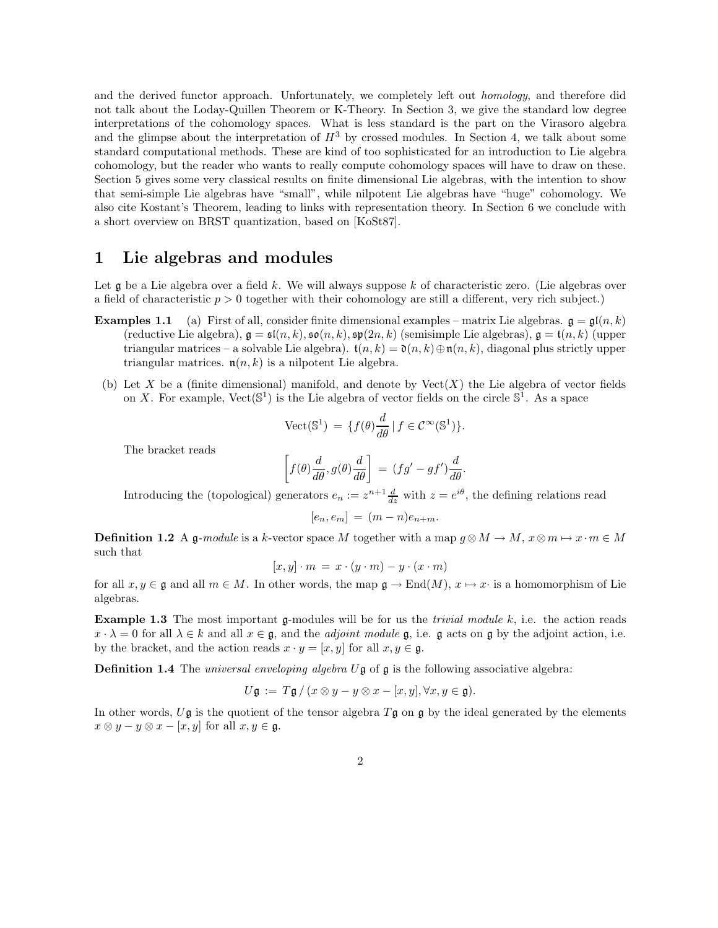and the derived functor approach. Unfortunately, we completely left out homology, and therefore did not talk about the Loday-Quillen Theorem or K-Theory. In Section 3, we give the standard low degree interpretations of the cohomology spaces. What is less standard is the part on the Virasoro algebra and the glimpse about the interpretation of  $H<sup>3</sup>$  by crossed modules. In Section 4, we talk about some standard computational methods. These are kind of too sophisticated for an introduction to Lie algebra cohomology, but the reader who wants to really compute cohomology spaces will have to draw on these. Section 5 gives some very classical results on finite dimensional Lie algebras, with the intention to show that semi-simple Lie algebras have "small", while nilpotent Lie algebras have "huge" cohomology. We also cite Kostant's Theorem, leading to links with representation theory. In Section 6 we conclude with a short overview on BRST quantization, based on [KoSt87].

# 1 Lie algebras and modules

Let  $\mathfrak g$  be a Lie algebra over a field k. We will always suppose k of characteristic zero. (Lie algebras over a field of characteristic  $p > 0$  together with their cohomology are still a different, very rich subject.)

- **Examples 1.1** (a) First of all, consider finite dimensional examples matrix Lie algebras.  $\mathfrak{g} = \mathfrak{gl}(n, k)$ (reductive Lie algebra),  $\mathfrak{g} = \mathfrak{sl}(n, k)$ ,  $\mathfrak{so}(n, k)$ ,  $\mathfrak{sp}(2n, k)$  (semisimple Lie algebras),  $\mathfrak{g} = \mathfrak{t}(n, k)$  (upper triangular matrices – a solvable Lie algebra).  $t(n, k) = \mathfrak{d}(n, k) \oplus \mathfrak{n}(n, k)$ , diagonal plus strictly upper triangular matrices.  $n(n, k)$  is a nilpotent Lie algebra.
- (b) Let X be a (finite dimensional) manifold, and denote by  $Vect(X)$  the Lie algebra of vector fields on X. For example,  $Vect(\mathbb{S}^1)$  is the Lie algebra of vector fields on the circle  $\mathbb{S}^1$ . As a space

$$
\text{Vect}(\mathbb{S}^1) \,=\, \{f(\theta)\frac{d}{d\theta} \,|\, f \in \mathcal{C}^\infty(\mathbb{S}^1)\}.
$$

The bracket reads

$$
\left[f(\theta)\frac{d}{d\theta},g(\theta)\frac{d}{d\theta}\right] = (fg' - gf')\frac{d}{d\theta}.
$$

Introducing the (topological) generators  $e_n := z^{n+1} \frac{d}{dz}$  with  $z = e^{i\theta}$ , the defining relations read

$$
[e_n, e_m] = (m - n)e_{n+m}.
$$

**Definition 1.2** A g-module is a k-vector space M together with a map  $g \otimes M \to M$ ,  $x \otimes m \mapsto x \cdot m \in M$ such that

$$
[x, y] \cdot m = x \cdot (y \cdot m) - y \cdot (x \cdot m)
$$

for all  $x, y \in \mathfrak{g}$  and all  $m \in M$ . In other words, the map  $\mathfrak{g} \to \text{End}(M)$ ,  $x \mapsto x$  is a homomorphism of Lie algebras.

**Example 1.3** The most important g-modules will be for us the *trivial module k*, i.e. the action reads  $x \cdot \lambda = 0$  for all  $\lambda \in k$  and all  $x \in \mathfrak{g}$ , and the *adjoint module*  $\mathfrak{g}$ , i.e.  $\mathfrak{g}$  acts on  $\mathfrak{g}$  by the adjoint action, i.e. by the bracket, and the action reads  $x \cdot y = [x, y]$  for all  $x, y \in \mathfrak{g}$ .

**Definition 1.4** The *universal enveloping algebra*  $U\mathfrak{g}$  of  $\mathfrak{g}$  is the following associative algebra:

$$
U\mathfrak{g} := T\mathfrak{g} / (x \otimes y - y \otimes x - [x, y], \forall x, y \in \mathfrak{g}).
$$

In other words,  $U\mathfrak{g}$  is the quotient of the tensor algebra  $T\mathfrak{g}$  on  $\mathfrak{g}$  by the ideal generated by the elements  $x \otimes y - y \otimes x - [x, y]$  for all  $x, y \in \mathfrak{g}$ .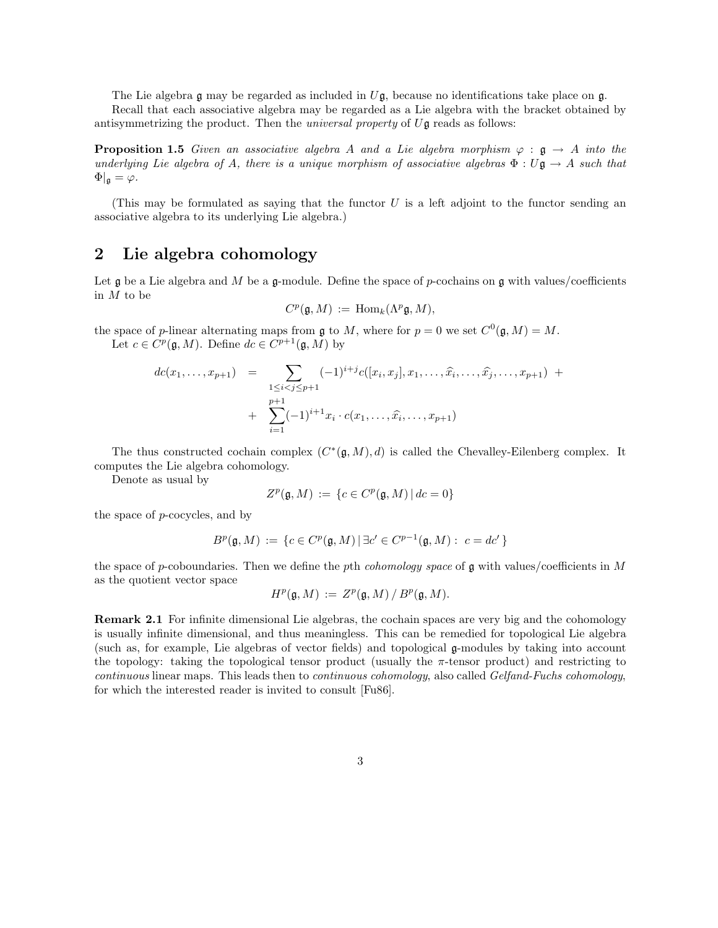The Lie algebra  $\mathfrak g$  may be regarded as included in  $U\mathfrak g$ , because no identifications take place on  $\mathfrak g$ . Recall that each associative algebra may be regarded as a Lie algebra with the bracket obtained by

antisymmetrizing the product. Then the *universal property* of  $U\mathfrak{g}$  reads as follows:

**Proposition 1.5** Given an associative algebra A and a Lie algebra morphism  $\varphi : \mathfrak{g} \to A$  into the underlying Lie algebra of A, there is a unique morphism of associative algebras  $\Phi: U\mathfrak{g} \to A$  such that  $\Phi|_{\mathfrak{g}} = \varphi.$ 

(This may be formulated as saying that the functor  $U$  is a left adjoint to the functor sending an associative algebra to its underlying Lie algebra.)

# 2 Lie algebra cohomology

Let  $\mathfrak g$  be a Lie algebra and M be a  $\mathfrak g$ -module. Define the space of p-cochains on  $\mathfrak g$  with values/coefficients in M to be

$$
C^p(\mathfrak{g},M) := \text{Hom}_k(\Lambda^p \mathfrak{g},M),
$$

the space of p-linear alternating maps from  $\mathfrak g$  to M, where for  $p = 0$  we set  $C^0(\mathfrak g,M) = M$ . Let  $c \in C^p(\mathfrak{g}, M)$ . Define  $dc \in C^{p+1}(\mathfrak{g}, M)$  by

$$
dc(x_1,...,x_{p+1}) = \sum_{\substack{1 \leq i < j \leq p+1}} (-1)^{i+j} c([x_i, x_j], x_1,..., \hat{x_i}, ..., \hat{x_j}, ..., x_{p+1}) + \sum_{i=1}^{p+1} (-1)^{i+1} x_i \cdot c(x_1,..., \hat{x_i}, ..., x_{p+1})
$$

The thus constructed cochain complex  $(C^*(\mathfrak{g},M),d)$  is called the Chevalley-Eilenberg complex. It computes the Lie algebra cohomology.

Denote as usual by

$$
Z^p(\mathfrak{g},M) := \{c \in C^p(\mathfrak{g},M) \, | \, dc = 0\}
$$

the space of p-cocycles, and by

$$
B^p(\mathfrak{g},M) := \{c \in C^p(\mathfrak{g},M) \mid \exists c' \in C^{p-1}(\mathfrak{g},M) : c = dc'\}
$$

the space of p-coboundaries. Then we define the pth *cohomology space* of  $\mathfrak g$  with values/coefficients in M as the quotient vector space

$$
H^p(\mathfrak{g},M) := Z^p(\mathfrak{g},M) / B^p(\mathfrak{g},M).
$$

Remark 2.1 For infinite dimensional Lie algebras, the cochain spaces are very big and the cohomology is usually infinite dimensional, and thus meaningless. This can be remedied for topological Lie algebra (such as, for example, Lie algebras of vector fields) and topological g-modules by taking into account the topology: taking the topological tensor product (usually the  $\pi$ -tensor product) and restricting to continuous linear maps. This leads then to continuous cohomology, also called Gelfand-Fuchs cohomology, for which the interested reader is invited to consult [Fu86].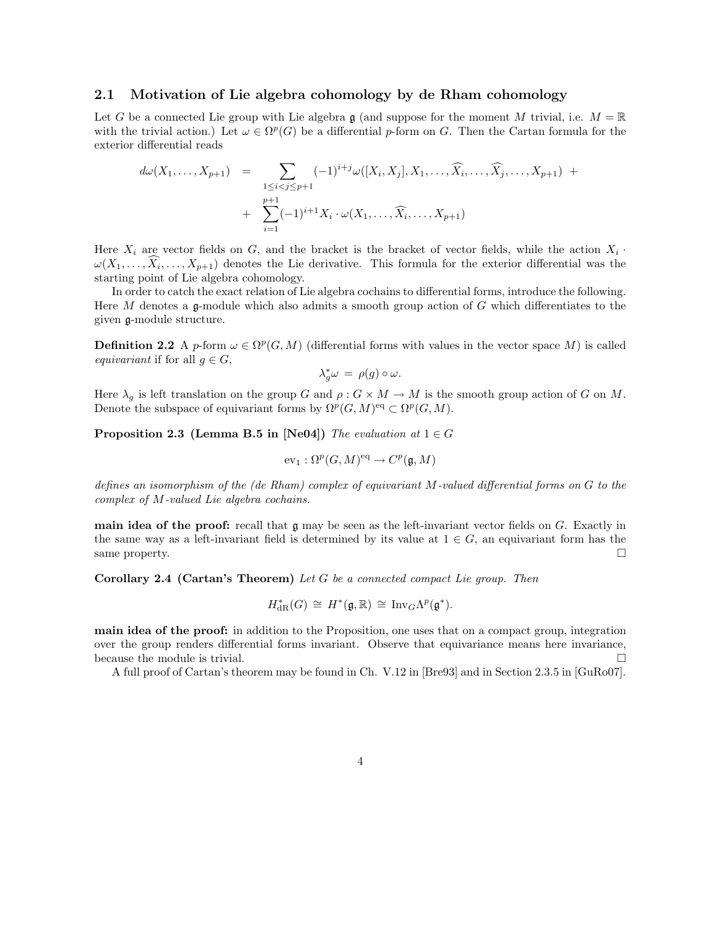#### 2.1 Motivation of Lie algebra cohomology by de Rham cohomology

Let G be a connected Lie group with Lie algebra g (and suppose for the moment M trivial, i.e.  $M = \mathbb{R}$ ) with the trivial action.) Let  $\omega \in \Omega^p(G)$  be a differential p-form on G. Then the Cartan formula for the exterior differential reads

$$
d\omega(X_1, ..., X_{p+1}) = \sum_{\substack{1 \leq i < j \leq p+1}} (-1)^{i+j} \omega([X_i, X_j], X_1, ..., \widehat{X_i}, ..., \widehat{X_j}, ..., X_{p+1}) + \sum_{i=1}^{p+1} (-1)^{i+1} X_i \cdot \omega(X_1, ..., \widehat{X_i}, ..., X_{p+1})
$$

Here  $X_i$  are vector fields on G, and the bracket is the bracket of vector fields, while the action  $X_i$ .  $\omega(X_1,\ldots,X_i,\ldots,X_{p+1})$  denotes the Lie derivative. This formula for the exterior differential was the starting point of Lie algebra cohomology.

In order to catch the exact relation of Lie algebra cochains to differential forms, introduce the following. Here M denotes a  $\mathfrak{g}$ -module which also admits a smooth group action of G which differentiates to the given g-module structure.

**Definition 2.2** A p-form  $\omega \in \Omega^p(G, M)$  (differential forms with values in the vector space M) is called equivariant if for all  $q \in G$ ,

$$
\lambda_g^*\omega = \rho(g) \circ \omega.
$$

Here  $\lambda_q$  is left translation on the group G and  $\rho: G \times M \to M$  is the smooth group action of G on M. Denote the subspace of equivariant forms by  $\Omega^p(G,M)$ <sup>eq</sup>  $\subset \Omega^p(G,M)$ .

**Proposition 2.3 (Lemma B.5 in [Ne04])** The evaluation at  $1 \in G$ 

$$
\mathrm{ev}_1:\Omega^p(G,M)^{\mathrm{eq}}\to C^p(\mathfrak{g},M)
$$

defines an isomorphism of the (de Rham) complex of equivariant M-valued differential forms on G to the complex of M-valued Lie algebra cochains.

**main idea of the proof:** recall that  $\mathfrak{g}$  may be seen as the left-invariant vector fields on G. Exactly in the same way as a left-invariant field is determined by its value at  $1 \in G$ , an equivariant form has the same property.

Corollary 2.4 (Cartan's Theorem) Let G be a connected compact Lie group. Then

$$
H^*_{\mathrm{dR}}(G) \,\cong\, H^*(\mathfrak{g}, \mathbb{R}) \,\cong\, \mathrm{Inv}_G \Lambda^p(\mathfrak{g}^*).
$$

main idea of the proof: in addition to the Proposition, one uses that on a compact group, integration over the group renders differential forms invariant. Observe that equivariance means here invariance, because the module is trivial.  $\Box$ 

A full proof of Cartan's theorem may be found in Ch. V.12 in [Bre93] and in Section 2.3.5 in [GuRo07].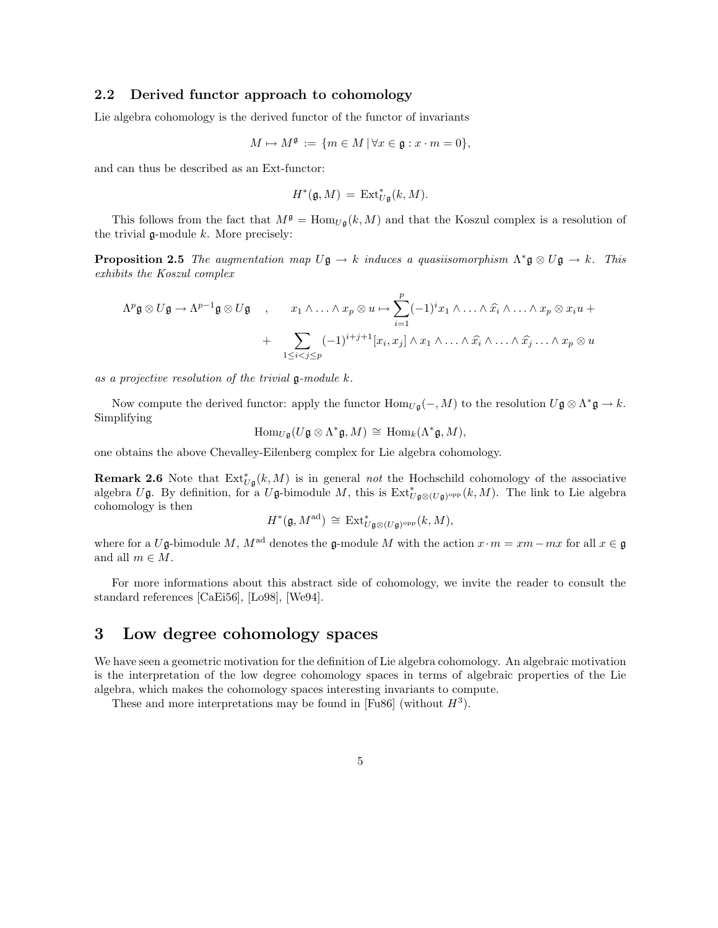#### 2.2 Derived functor approach to cohomology

Lie algebra cohomology is the derived functor of the functor of invariants

$$
M \mapsto M^{\mathfrak{g}} := \{ m \in M \, | \, \forall x \in \mathfrak{g} : x \cdot m = 0 \},
$$

and can thus be described as an Ext-functor:

$$
H^*(\mathfrak{g},M) \,=\, \operatorname{Ext}^*_{U\mathfrak{g}}(k,M).
$$

This follows from the fact that  $M^{\mathfrak{g}} = \text{Hom}_{U_{\mathfrak{g}}}(k, M)$  and that the Koszul complex is a resolution of the trivial  $\mathfrak g$ -module  $k$ . More precisely:

**Proposition 2.5** The augmentation map  $U\mathfrak{g} \to k$  induces a quasiisomorphism  $\Lambda^* \mathfrak{g} \otimes U\mathfrak{g} \to k$ . This exhibits the Koszul complex

$$
\Lambda^p \mathfrak{g} \otimes U \mathfrak{g} \to \Lambda^{p-1} \mathfrak{g} \otimes U \mathfrak{g} \quad , \qquad x_1 \wedge \ldots \wedge x_p \otimes u \mapsto \sum_{i=1}^p (-1)^i x_1 \wedge \ldots \wedge \widehat{x_i} \wedge \ldots \wedge x_p \otimes x_i u +
$$

$$
+ \sum_{1 \leq i < j \leq p} (-1)^{i+j+1} [x_i, x_j] \wedge x_1 \wedge \ldots \wedge \widehat{x_i} \wedge \ldots \wedge \widehat{x_j} \ldots \wedge x_p \otimes u
$$

as a projective resolution of the trivial  $\mathfrak g$ -module  $k$ .

Now compute the derived functor: apply the functor  $\text{Hom}_{U\mathfrak{g}}(-, M)$  to the resolution  $U\mathfrak{g} \otimes \Lambda^*\mathfrak{g} \to k$ . Simplifying

$$
\operatorname{Hom}_{U\mathfrak{g}}(U\mathfrak{g}\otimes\Lambda^*\mathfrak{g},M)\,\cong\,\operatorname{Hom}_k(\Lambda^*\mathfrak{g},M),
$$

one obtains the above Chevalley-Eilenberg complex for Lie algebra cohomology.

**Remark 2.6** Note that  $Ext^*_{U\mathfrak{g}}(k,M)$  is in general *not* the Hochschild cohomology of the associative algebra Ug. By definition, for a Ug-bimodule M, this is  $Ext^*_{U_{\mathfrak{g}} \otimes (U_{\mathfrak{g}})^{\text{opp}}}(k,M)$ . The link to Lie algebra cohomology is then

$$
H^*(\mathfrak{g},M^{\mathrm{ad}})\,\cong\,\operatorname{Ext}^*_{U\mathfrak{g}\otimes (U\mathfrak{g})^{\mathrm{opp}}}(k,M),
$$

where for a Ug-bimodule M,  $M^{\text{ad}}$  denotes the g-module M with the action  $x \cdot m = xm-mx$  for all  $x \in \mathfrak{g}$ and all  $m \in M$ .

For more informations about this abstract side of cohomology, we invite the reader to consult the standard references [CaEi56], [Lo98], [We94].

# 3 Low degree cohomology spaces

We have seen a geometric motivation for the definition of Lie algebra cohomology. An algebraic motivation is the interpretation of the low degree cohomology spaces in terms of algebraic properties of the Lie algebra, which makes the cohomology spaces interesting invariants to compute.

These and more interpretations may be found in [Fu86] (without  $H^3$ ).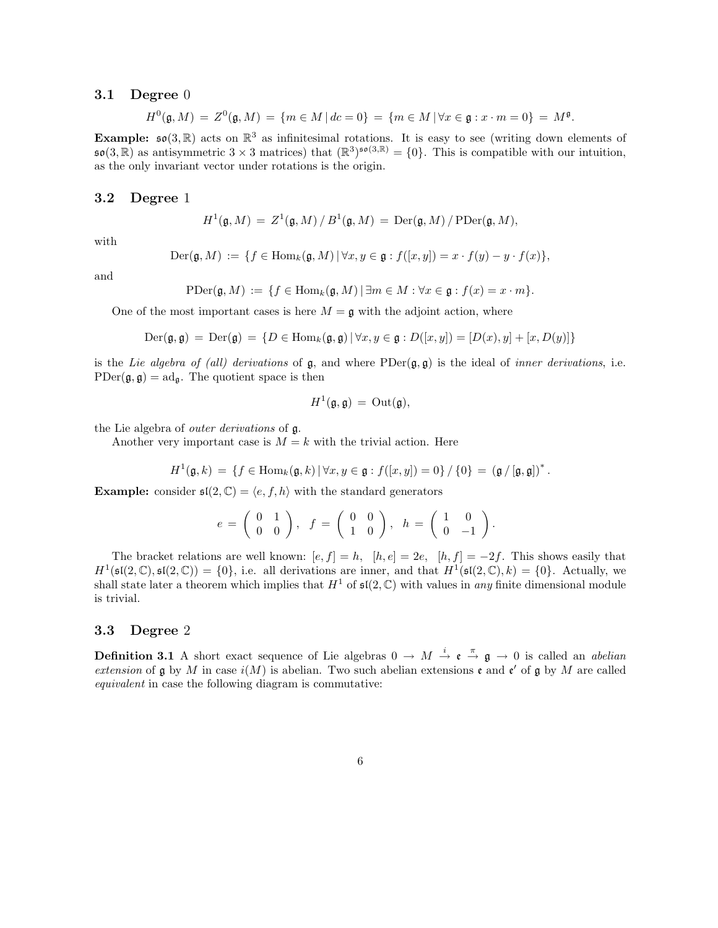#### **3.1** Degree 0

$$
H^{0}(\mathfrak{g},M) = Z^{0}(\mathfrak{g},M) = \{ m \in M \, | \, dc = 0 \} = \{ m \in M \, | \, \forall x \in \mathfrak{g} : x \cdot m = 0 \} = M^{\mathfrak{g}}.
$$

Example:  $\mathfrak{so}(3,\mathbb{R})$  acts on  $\mathbb{R}^3$  as infinitesimal rotations. It is easy to see (writing down elements of  $\mathfrak{so}(3,\mathbb{R})$  as antisymmetric  $3 \times 3$  matrices) that  $(\mathbb{R}^3)^{\mathfrak{so}(3,\mathbb{R})} = \{0\}$ . This is compatible with our intuition, as the only invariant vector under rotations is the origin.

#### 3.2 Degree 1

$$
H^1(\mathfrak{g},M) = Z^1(\mathfrak{g},M)/B^1(\mathfrak{g},M) = \mathrm{Der}(\mathfrak{g},M)/\mathrm{PDer}(\mathfrak{g},M),
$$

with

$$
\mathrm{Der}(\mathfrak{g},M) := \{ f \in \mathrm{Hom}_k(\mathfrak{g},M) \, | \, \forall x,y \in \mathfrak{g} : f([x,y]) = x \cdot f(y) - y \cdot f(x) \},
$$

and

$$
\mathrm{PDer}(\mathfrak{g},M) := \{ f \in \mathrm{Hom}_k(\mathfrak{g},M) \, | \, \exists m \in M : \forall x \in \mathfrak{g} : f(x) = x \cdot m \}.
$$

One of the most important cases is here  $M = \mathfrak{g}$  with the adjoint action, where

$$
\text{Der}(\mathfrak{g}, \mathfrak{g}) = \text{Der}(\mathfrak{g}) = \{ D \in \text{Hom}_k(\mathfrak{g}, \mathfrak{g}) \mid \forall x, y \in \mathfrak{g} : D([x, y]) = [D(x), y] + [x, D(y)] \}
$$

is the Lie algebra of (all) derivations of  $\mathfrak{g}$ , and where PDer $(\mathfrak{g}, \mathfrak{g})$  is the ideal of inner derivations, i.e.  $PDer(\mathfrak{g}, \mathfrak{g}) = \mathrm{ad}_{\mathfrak{g}}$ . The quotient space is then

$$
H^1(\mathfrak{g},\mathfrak{g})\,=\,\mathrm{Out}(\mathfrak{g}),
$$

the Lie algebra of outer derivations of g.

Another very important case is  $M = k$  with the trivial action. Here

$$
H^1(\mathfrak{g},k) = \{ f \in \text{Hom}_k(\mathfrak{g},k) \, | \, \forall x,y \in \mathfrak{g} : f([x,y]) = 0 \} / \{0\} = (\mathfrak{g}/[\mathfrak{g},\mathfrak{g}])^*.
$$

**Example:** consider  $\mathfrak{sl}(2,\mathbb{C}) = \langle e, f, h \rangle$  with the standard generators

$$
e = \left(\begin{array}{cc} 0 & 1 \\ 0 & 0 \end{array}\right), \quad f = \left(\begin{array}{cc} 0 & 0 \\ 1 & 0 \end{array}\right), \quad h = \left(\begin{array}{cc} 1 & 0 \\ 0 & -1 \end{array}\right).
$$

The bracket relations are well known:  $[e, f] = h$ ,  $[h, e] = 2e$ ,  $[h, f] = -2f$ . This shows easily that  $H^1(\mathfrak{sl}(2,\mathbb{C}),\mathfrak{sl}(2,\mathbb{C})) = \{0\},\$ i.e. all derivations are inner, and that  $H^1(\mathfrak{sl}(2,\mathbb{C}),k) = \{0\}.$  Actually, we shall state later a theorem which implies that  $H^1$  of  $\mathfrak{sl}(2,\mathbb{C})$  with values in any finite dimensional module is trivial.

#### 3.3 Degree 2

**Definition 3.1** A short exact sequence of Lie algebras  $0 \to M \stackrel{i}{\to} \mathfrak{e} \stackrel{\pi}{\to} \mathfrak{g} \to 0$  is called an *abelian* extension of  $\mathfrak g$  by M in case  $i(M)$  is abelian. Two such abelian extensions  $\mathfrak e$  and  $\mathfrak e'$  of  $\mathfrak g$  by M are called equivalent in case the following diagram is commutative: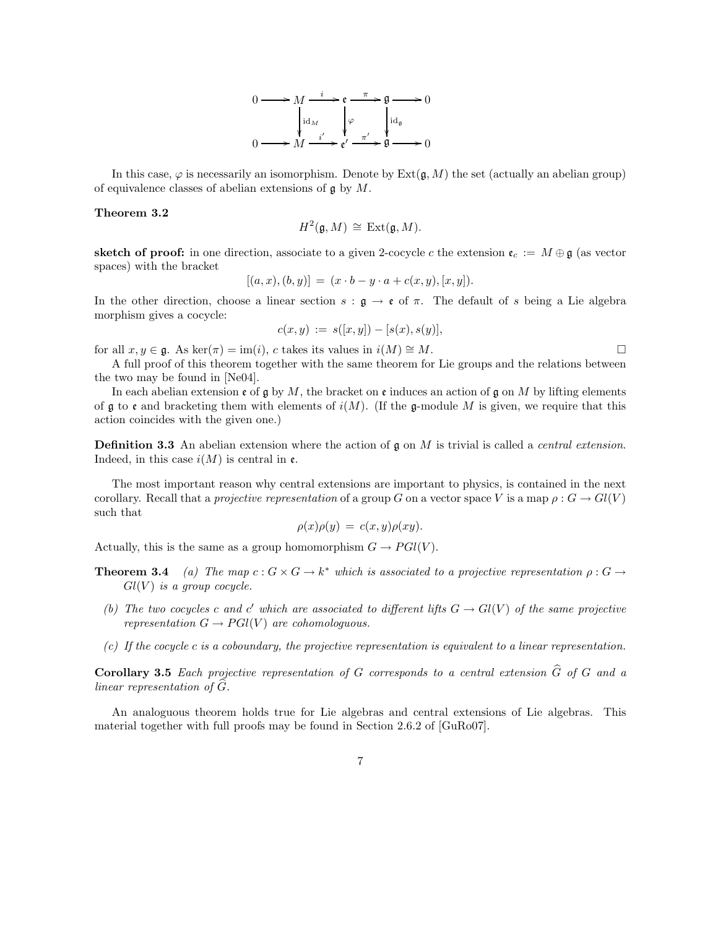

In this case,  $\varphi$  is necessarily an isomorphism. Denote by Ext $(\mathfrak{g}, M)$  the set (actually an abelian group) of equivalence classes of abelian extensions of  $\mathfrak g$  by  $M$ .

#### Theorem 3.2

$$
H^2(\mathfrak{g},M) \,\cong\, \mathrm{Ext}(\mathfrak{g},M).
$$

**sketch of proof:** in one direction, associate to a given 2-cocycle c the extension  $e_c := M \oplus \mathfrak{g}$  (as vector spaces) with the bracket

$$
[(a, x), (b, y)] = (x \cdot b - y \cdot a + c(x, y), [x, y]).
$$

In the other direction, choose a linear section  $s : \mathfrak{g} \to \mathfrak{e}$  of  $\pi$ . The default of s being a Lie algebra morphism gives a cocycle:

$$
c(x, y) := s([x, y]) - [s(x), s(y)],
$$

for all  $x, y \in \mathfrak{g}$ . As ker( $\pi$ ) = im(i), c takes its values in  $i(M) \cong M$ .

A full proof of this theorem together with the same theorem for Lie groups and the relations between the two may be found in [Ne04].

In each abelian extension  $\epsilon$  of g by M, the bracket on  $\epsilon$  induces an action of g on M by lifting elements of  $\frak g$  to  $\frak e$  and bracketing them with elements of  $i(M)$ . (If the g-module M is given, we require that this action coincides with the given one.)

**Definition 3.3** An abelian extension where the action of  $\mathfrak{g}$  on M is trivial is called a *central extension*. Indeed, in this case  $i(M)$  is central in  $\mathfrak{e}$ .

The most important reason why central extensions are important to physics, is contained in the next corollary. Recall that a projective representation of a group G on a vector space V is a map  $\rho: G \to Gl(V)$ such that

$$
\rho(x)\rho(y) = c(x,y)\rho(xy).
$$

Actually, this is the same as a group homomorphism  $G \to PGl(V)$ .

- **Theorem 3.4** (a) The map  $c: G \times G \to k^*$  which is associated to a projective representation  $\rho: G \to$  $Gl(V)$  is a group cocycle.
	- (b) The two cocycles c and c' which are associated to different lifts  $G \to Gl(V)$  of the same projective representation  $G \to PGl(V)$  are cohomologuous.
	- (c) If the cocycle c is a coboundary, the projective representation is equivalent to a linear representation.

**Corollary 3.5** Each projective representation of G corresponds to a central extension  $\widehat{G}$  of G and a linear representation of  $G$ .

An analoguous theorem holds true for Lie algebras and central extensions of Lie algebras. This material together with full proofs may be found in Section 2.6.2 of [GuRo07].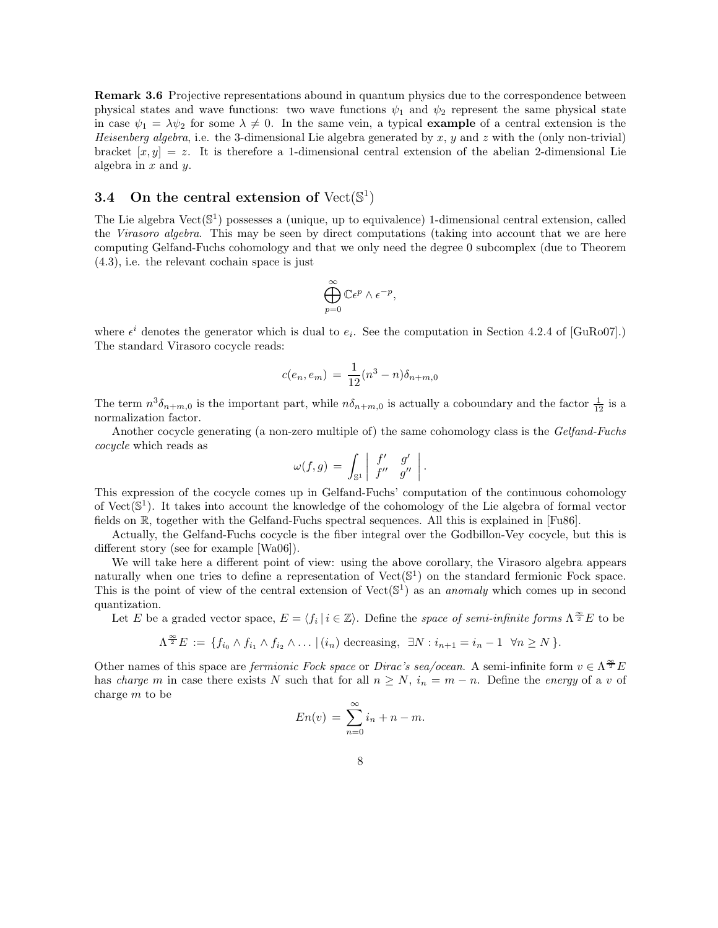Remark 3.6 Projective representations abound in quantum physics due to the correspondence between physical states and wave functions: two wave functions  $\psi_1$  and  $\psi_2$  represent the same physical state in case  $\psi_1 = \lambda \psi_2$  for some  $\lambda \neq 0$ . In the same vein, a typical **example** of a central extension is the Heisenberg algebra, i.e. the 3-dimensional Lie algebra generated by x, y and z with the (only non-trivial) bracket  $[x, y] = z$ . It is therefore a 1-dimensional central extension of the abelian 2-dimensional Lie algebra in  $x$  and  $y$ .

# 3.4 On the central extension of  $Vect({\mathbb{S}}^1)$

The Lie algebra  $Vect(\mathbb{S}^1)$  possesses a (unique, up to equivalence) 1-dimensional central extension, called the Virasoro algebra. This may be seen by direct computations (taking into account that we are here computing Gelfand-Fuchs cohomology and that we only need the degree 0 subcomplex (due to Theorem (4.3), i.e. the relevant cochain space is just

$$
\bigoplus_{p=0}^{\infty} \mathbb{C} \epsilon^p \wedge \epsilon^{-p},
$$

where  $\epsilon^i$  denotes the generator which is dual to  $e_i$ . See the computation in Section 4.2.4 of [GuRo07].) The standard Virasoro cocycle reads:

$$
c(e_n, e_m) = \frac{1}{12}(n^3 - n)\delta_{n+m,0}
$$

The term  $n^3\delta_{n+m,0}$  is the important part, while  $n\delta_{n+m,0}$  is actually a coboundary and the factor  $\frac{1}{12}$  is a normalization factor.

Another cocycle generating (a non-zero multiple of) the same cohomology class is the Gelfand-Fuchs cocycle which reads as

$$
\omega(f,g) = \int_{\mathbb{S}^1} \left| \begin{array}{cc} f' & g' \\ f'' & g'' \end{array} \right|.
$$

This expression of the cocycle comes up in Gelfand-Fuchs' computation of the continuous cohomology of Vect( $\mathbb{S}^1$ ). It takes into account the knowledge of the cohomology of the Lie algebra of formal vector fields on R, together with the Gelfand-Fuchs spectral sequences. All this is explained in [Fu86].

Actually, the Gelfand-Fuchs cocycle is the fiber integral over the Godbillon-Vey cocycle, but this is different story (see for example [Wa06]).

We will take here a different point of view: using the above corollary, the Virasoro algebra appears naturally when one tries to define a representation of  $Vect(\mathbb{S}^1)$  on the standard fermionic Fock space. This is the point of view of the central extension of  $Vect(\mathbb{S}^1)$  as an *anomaly* which comes up in second quantization.

Let E be a graded vector space,  $E = \langle f_i | i \in \mathbb{Z} \rangle$ . Define the space of semi-infinite forms  $\Lambda^{\frac{\infty}{2}}E$  to be

$$
\Lambda^{\frac{\infty}{2}}E := \{f_{i_0} \wedge f_{i_1} \wedge f_{i_2} \wedge \ldots \mid (i_n) \text{ decreasing}, \exists N : i_{n+1} = i_n - 1 \ \forall n \ge N\}.
$$

Other names of this space are *fermionic Fock space* or *Dirac's sea/ocean*. A semi-infinite form  $v \in \Lambda^{\frac{\infty}{2}}E$ has charge m in case there exists N such that for all  $n \geq N$ ,  $i_n = m - n$ . Define the energy of a v of charge m to be

$$
En(v) = \sum_{n=0}^{\infty} i_n + n - m.
$$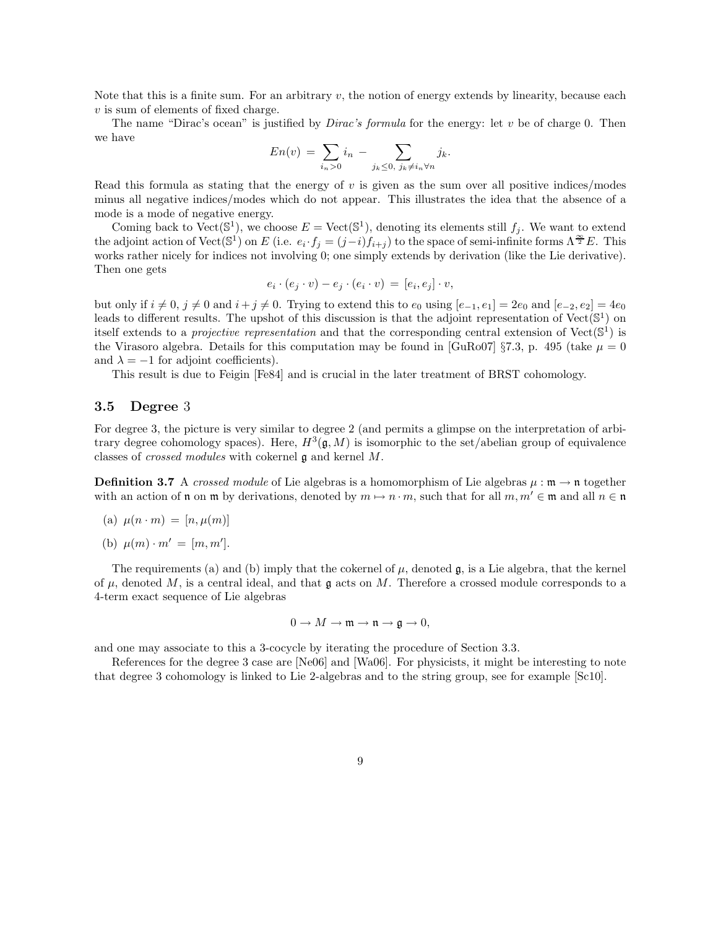Note that this is a finite sum. For an arbitrary  $v$ , the notion of energy extends by linearity, because each  $v$  is sum of elements of fixed charge.

The name "Dirac's ocean" is justified by *Dirac's formula* for the energy: let v be of charge 0. Then we have

$$
En(v) = \sum_{i_n>0} i_n - \sum_{j_k\leq 0, j_k\neq i_n\forall n} j_k.
$$

Read this formula as stating that the energy of  $v$  is given as the sum over all positive indices/modes minus all negative indices/modes which do not appear. This illustrates the idea that the absence of a mode is a mode of negative energy.

Coming back to Vect( $\mathbb{S}^1$ ), we choose  $E = \text{Vect}(\mathbb{S}^1)$ , denoting its elements still  $f_j$ . We want to extend the adjoint action of Vect( $\mathbb{S}^1$ ) on E (i.e.  $e_i \cdot f_j = (j-i)f_{i+j}$ ) to the space of semi-infinite forms  $\Lambda^{\frac{\infty}{2}}E$ . This works rather nicely for indices not involving 0; one simply extends by derivation (like the Lie derivative). Then one gets

$$
e_i \cdot (e_j \cdot v) - e_j \cdot (e_i \cdot v) = [e_i, e_j] \cdot v,
$$

but only if  $i \neq 0$ ,  $j \neq 0$  and  $i+j \neq 0$ . Trying to extend this to  $e_0$  using  $[e_{-1}, e_1] = 2e_0$  and  $[e_{-2}, e_2] = 4e_0$ leads to different results. The upshot of this discussion is that the adjoint representation of  $Vect({\mathbb{S}}^1)$  on itself extends to a *projective representation* and that the corresponding central extension of  $Vect(\mathbb{S}^1)$  is the Virasoro algebra. Details for this computation may be found in [GuRo07] §7.3, p. 495 (take  $\mu = 0$ and  $\lambda = -1$  for adjoint coefficients).

This result is due to Feigin [Fe84] and is crucial in the later treatment of BRST cohomology.

#### 3.5 Degree 3

For degree 3, the picture is very similar to degree 2 (and permits a glimpse on the interpretation of arbitrary degree cohomology spaces). Here,  $H^3(\mathfrak{g}, M)$  is isomorphic to the set/abelian group of equivalence classes of crossed modules with cokernel g and kernel M.

**Definition 3.7** A crossed module of Lie algebras is a homomorphism of Lie algebras  $\mu : \mathfrak{m} \to \mathfrak{n}$  together with an action of  $\mathfrak n$  on  $\mathfrak m$  by derivations, denoted by  $m \mapsto n \cdot m$ , such that for all  $m, m' \in \mathfrak m$  and all  $n \in \mathfrak n$ 

(a) 
$$
\mu(n \cdot m) = [n, \mu(m)]
$$

(b)  $\mu(m) \cdot m' = [m, m']$ .

The requirements (a) and (b) imply that the cokernel of  $\mu$ , denoted  $\mathfrak{g}$ , is a Lie algebra, that the kernel of  $\mu$ , denoted M, is a central ideal, and that  $\mathfrak g$  acts on M. Therefore a crossed module corresponds to a 4-term exact sequence of Lie algebras

$$
0 \to M \to \mathfrak{m} \to \mathfrak{n} \to \mathfrak{g} \to 0,
$$

and one may associate to this a 3-cocycle by iterating the procedure of Section 3.3.

References for the degree 3 case are [Ne06] and [Wa06]. For physicists, it might be interesting to note that degree 3 cohomology is linked to Lie 2-algebras and to the string group, see for example [Sc10].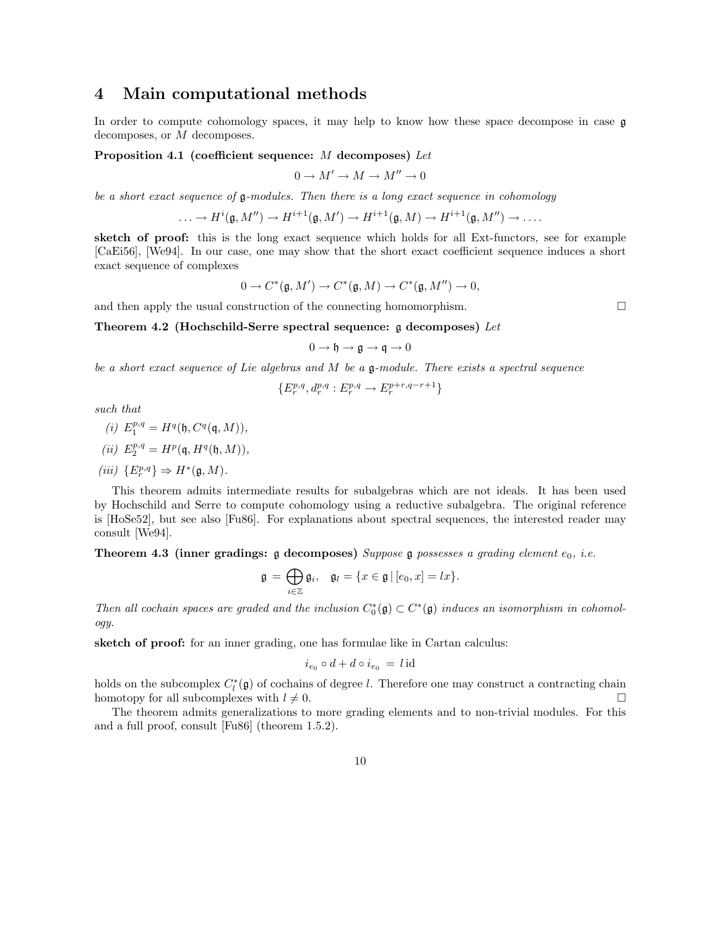# 4 Main computational methods

In order to compute cohomology spaces, it may help to know how these space decompose in case  $\mathfrak g$ decomposes, or M decomposes.

Proposition 4.1 (coefficient sequence: M decomposes) Let

$$
0 \to M' \to M \to M'' \to 0
$$

be a short exact sequence of g-modules. Then there is a long exact sequence in cohomology

$$
\ldots \to H^i(\mathfrak{g},M'') \to H^{i+1}(\mathfrak{g},M') \to H^{i+1}(\mathfrak{g},M) \to H^{i+1}(\mathfrak{g},M'') \to \ldots.
$$

sketch of proof: this is the long exact sequence which holds for all Ext-functors, see for example [CaEi56], [We94]. In our case, one may show that the short exact coefficient sequence induces a short exact sequence of complexes

$$
0 \to C^*(\mathfrak{g}, M') \to C^*(\mathfrak{g}, M) \to C^*(\mathfrak{g}, M'') \to 0,
$$

and then apply the usual construction of the connecting homomorphism.  $\Box$ 

Theorem 4.2 (Hochschild-Serre spectral sequence:  $\mathfrak g$  decomposes) Let

$$
0 \to \mathfrak{h} \to \mathfrak{g} \to \mathfrak{q} \to 0
$$

be a short exact sequence of Lie algebras and M be a  $\mathfrak g$ -module. There exists a spectral sequence

$$
\{E^{p,q}_r, d^{p,q}_r: E^{p,q}_r \to E^{p+r,q-r+1}_r\}
$$

such that

$$
(i) E_1^{p,q} = H^q(\mathfrak{h}, C^q(\mathfrak{q},M)),
$$

$$
(ii)\ \ E_2^{p,q}=H^p(\mathfrak{q},H^q(\mathfrak{h},M)),
$$

$$
(iii) \ \{E^{p,q}_r\} \Rightarrow H^*(\mathfrak{g},M).
$$

This theorem admits intermediate results for subalgebras which are not ideals. It has been used by Hochschild and Serre to compute cohomology using a reductive subalgebra. The original reference is [HoSe52], but see also [Fu86]. For explanations about spectral sequences, the interested reader may consult [We94].

Theorem 4.3 (inner gradings:  $\frak{g}$  decomposes) Suppose  $\frak{g}$  possesses a grading element  $e_0$ , i.e.

$$
\mathfrak{g} = \bigoplus_{i \in \mathbb{Z}} \mathfrak{g}_i, \quad \mathfrak{g}_l = \{x \in \mathfrak{g} \, | \, [e_0, x] = lx\}.
$$

Then all cochain spaces are graded and the inclusion  $C_0^*(\mathfrak{g}) \subset C^*(\mathfrak{g})$  induces an isomorphism in cohomology.

sketch of proof: for an inner grading, one has formulae like in Cartan calculus:

$$
i_{e_0} \circ d + d \circ i_{e_0} \, = \, l \, \mathrm{id}
$$

holds on the subcomplex  $C_l^*(\mathfrak{g})$  of cochains of degree l. Therefore one may construct a contracting chain homotopy for all subcomplexes with  $l \neq 0$ .

The theorem admits generalizations to more grading elements and to non-trivial modules. For this and a full proof, consult [Fu86] (theorem 1.5.2).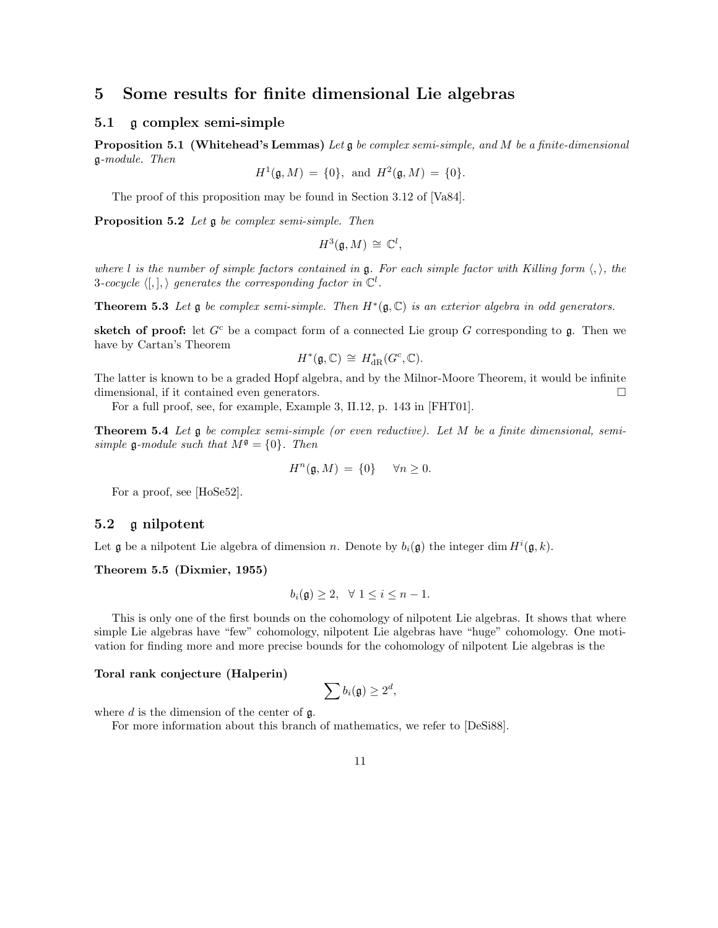# 5 Some results for finite dimensional Lie algebras

#### 5.1 g complex semi-simple

**Proposition 5.1 (Whitehead's Lemmas)** Let  $\mathfrak{g}$  be complex semi-simple, and M be a finite-dimensional g-module. Then

$$
H^1(\mathfrak{g}, M) = \{0\}, \text{ and } H^2(\mathfrak{g}, M) = \{0\}.
$$

The proof of this proposition may be found in Section 3.12 of [Va84].

Proposition 5.2 Let  $\mathfrak g$  be complex semi-simple. Then

$$
H^3(\mathfrak{g},M)\,\cong\,\mathbb{C}^l,
$$

where l is the number of simple factors contained in g. For each simple factor with Killing form  $\langle, \rangle$ , the 3-cocycle  $\langle , \cdot | , \cdot \rangle$  generates the corresponding factor in  $\mathbb{C}^l$ .

**Theorem 5.3** Let  $\mathfrak g$  be complex semi-simple. Then  $H^*(\mathfrak g, \mathbb C)$  is an exterior algebra in odd generators.

sketch of proof: let  $G^c$  be a compact form of a connected Lie group G corresponding to g. Then we have by Cartan's Theorem

$$
H^*(\mathfrak{g},\mathbb{C})\,\cong\, H^*_{\mathrm{dR}}(G^c,\mathbb{C}).
$$

The latter is known to be a graded Hopf algebra, and by the Milnor-Moore Theorem, it would be infinite dimensional, if it contained even generators.

For a full proof, see, for example, Example 3, II.12, p. 143 in [FHT01].

**Theorem 5.4** Let  $\mathfrak g$  be complex semi-simple (or even reductive). Let M be a finite dimensional, semisimple g-module such that  $M^{\mathfrak{g}} = \{0\}$ . Then

$$
H^n(\mathfrak{g}, M) = \{0\} \quad \forall n \ge 0.
$$

For a proof, see [HoSe52].

#### 5.2 g nilpotent

Let  $\mathfrak g$  be a nilpotent Lie algebra of dimension n. Denote by  $b_i(\mathfrak g)$  the integer dim  $H^i(\mathfrak g,k)$ .

Theorem 5.5 (Dixmier, 1955)

$$
b_i(\mathfrak{g}) \ge 2, \quad \forall \ 1 \le i \le n-1.
$$

This is only one of the first bounds on the cohomology of nilpotent Lie algebras. It shows that where simple Lie algebras have "few" cohomology, nilpotent Lie algebras have "huge" cohomology. One motivation for finding more and more precise bounds for the cohomology of nilpotent Lie algebras is the

#### Toral rank conjecture (Halperin)

$$
\sum b_i(\mathfrak{g}) \geq 2^d,
$$

where  $d$  is the dimension of the center of  $\mathfrak{g}$ .

For more information about this branch of mathematics, we refer to [DeSi88].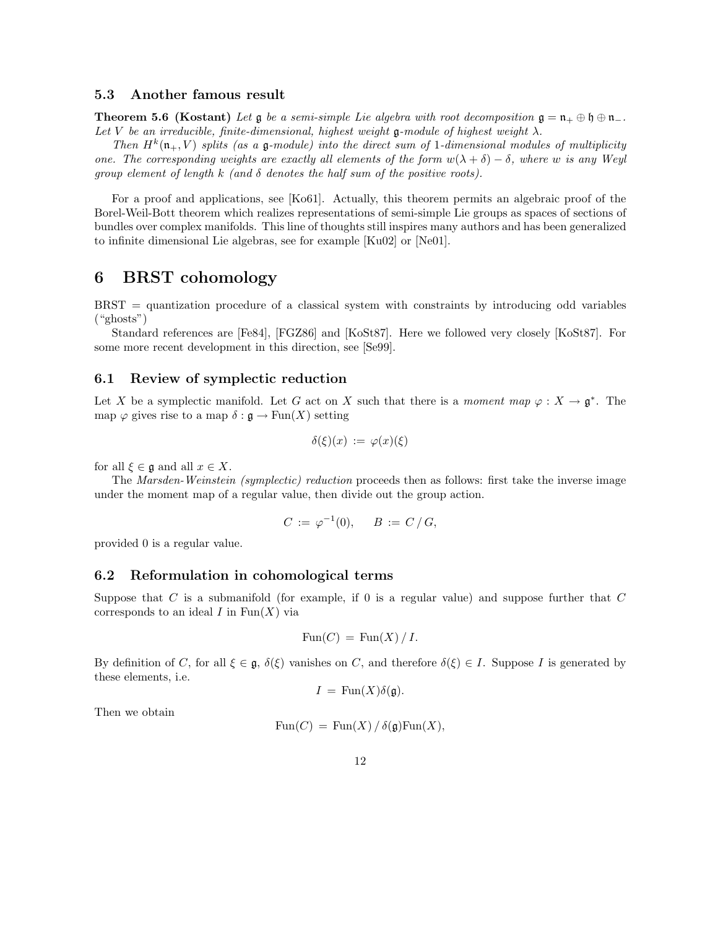#### 5.3 Another famous result

**Theorem 5.6 (Kostant)** Let  $\mathfrak g$  be a semi-simple Lie algebra with root decomposition  $\mathfrak g = \mathfrak n_+ \oplus \mathfrak h \oplus \mathfrak n_-$ . Let V be an irreducible, finite-dimensional, highest weight g-module of highest weight  $\lambda$ .

Then  $H^k(\mathfrak{n}_+, V)$  splits (as a  $\mathfrak{g}\text{-module}$ ) into the direct sum of 1-dimensional modules of multiplicity one. The corresponding weights are exactly all elements of the form  $w(\lambda + \delta) - \delta$ , where w is any Weyl group element of length k (and  $\delta$  denotes the half sum of the positive roots).

For a proof and applications, see [Ko61]. Actually, this theorem permits an algebraic proof of the Borel-Weil-Bott theorem which realizes representations of semi-simple Lie groups as spaces of sections of bundles over complex manifolds. This line of thoughts still inspires many authors and has been generalized to infinite dimensional Lie algebras, see for example [Ku02] or [Ne01].

### 6 BRST cohomology

BRST = quantization procedure of a classical system with constraints by introducing odd variables ("ghosts")

Standard references are [Fe84], [FGZ86] and [KoSt87]. Here we followed very closely [KoSt87]. For some more recent development in this direction, see [Se99].

#### 6.1 Review of symplectic reduction

Let X be a symplectic manifold. Let G act on X such that there is a moment map  $\varphi: X \to \mathfrak{g}^*$ . The map  $\varphi$  gives rise to a map  $\delta : \mathfrak{g} \to \text{Fun}(X)$  setting

$$
\delta(\xi)(x) := \varphi(x)(\xi)
$$

for all  $\xi \in \mathfrak{g}$  and all  $x \in X$ .

The Marsden-Weinstein (symplectic) reduction proceeds then as follows: first take the inverse image under the moment map of a regular value, then divide out the group action.

$$
C := \varphi^{-1}(0), \quad B := C/G,
$$

provided 0 is a regular value.

#### 6.2 Reformulation in cohomological terms

Suppose that  $C$  is a submanifold (for example, if 0 is a regular value) and suppose further that  $C$ corresponds to an ideal  $I$  in  $\text{Fun}(X)$  via

$$
Fun(C) = \operatorname{Fun}(X) / I.
$$

By definition of C, for all  $\xi \in \mathfrak{g}$ ,  $\delta(\xi)$  vanishes on C, and therefore  $\delta(\xi) \in I$ . Suppose I is generated by these elements, i.e.

$$
I = \operatorname{Fun}(X)\delta(\mathfrak{g}).
$$

Then we obtain

$$
Fun(C) = \text{Fun}(X) / \delta(\mathfrak{g}) \text{Fun}(X),
$$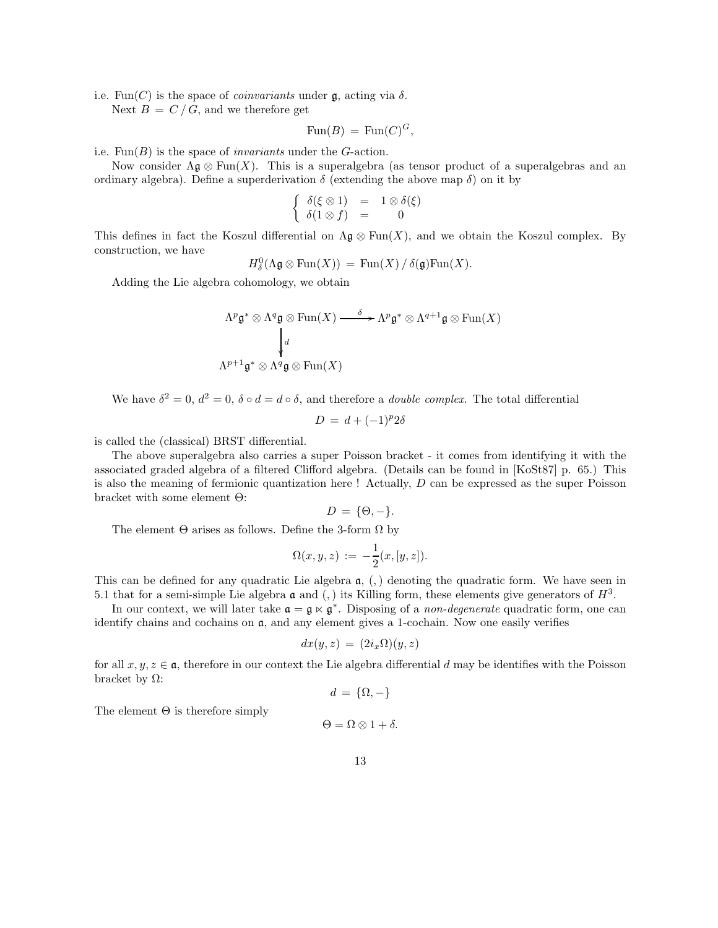i.e. Fun(C) is the space of *coinvariants* under  $\mathfrak{g}$ , acting via  $\delta$ .

Next  $B = C/G$ , and we therefore get

$$
Fun(B) = Fun(C)^{G},
$$

i.e.  $\text{Fun}(B)$  is the space of *invariants* under the G-action.

Now consider  $\Lambda \mathfrak{g} \otimes \text{Fun}(X)$ . This is a superalgebra (as tensor product of a superalgebras and an ordinary algebra). Define a superderivation  $\delta$  (extending the above map  $\delta$ ) on it by

$$
\left\{\begin{array}{rcl}\delta(\xi \otimes 1) & = & 1 \otimes \delta(\xi) \\
\delta(1 \otimes f) & = & 0\n\end{array}\right.
$$

This defines in fact the Koszul differential on  $\Lambda \mathfrak{g} \otimes \text{Fun}(X)$ , and we obtain the Koszul complex. By construction, we have

$$
H^0_\delta(\Lambda \mathfrak{g} \otimes \mathrm{Fun}(X)) = \mathrm{Fun}(X) / \delta(\mathfrak{g}) \mathrm{Fun}(X).
$$

Adding the Lie algebra cohomology, we obtain

$$
\Lambda^p \mathfrak{g}^* \otimes \Lambda^q \mathfrak{g} \otimes \text{Fun}(X) \xrightarrow{\delta} \Lambda^p \mathfrak{g}^* \otimes \Lambda^{q+1} \mathfrak{g} \otimes \text{Fun}(X)
$$
\n
$$
\downarrow^d
$$
\n
$$
\Lambda^{p+1} \mathfrak{g}^* \otimes \Lambda^q \mathfrak{g} \otimes \text{Fun}(X)
$$

We have  $\delta^2 = 0$ ,  $d^2 = 0$ ,  $\delta \circ d = d \circ \delta$ , and therefore a *double complex*. The total differential

$$
D = d + (-1)^p 2\delta
$$

is called the (classical) BRST differential.

The above superalgebra also carries a super Poisson bracket - it comes from identifying it with the associated graded algebra of a filtered Clifford algebra. (Details can be found in [KoSt87] p. 65.) This is also the meaning of fermionic quantization here  $!$  Actually,  $D$  can be expressed as the super Poisson bracket with some element Θ:

$$
D = \{\Theta, -\}.
$$

The element  $\Theta$  arises as follows. Define the 3-form  $\Omega$  by

$$
\Omega(x, y, z) := -\frac{1}{2}(x, [y, z]).
$$

This can be defined for any quadratic Lie algebra  $a, (.)$  denoting the quadratic form. We have seen in 5.1 that for a semi-simple Lie algebra  $\mathfrak a$  and (,) its Killing form, these elements give generators of  $H^3$ .

In our context, we will later take  $\mathfrak{a} = \mathfrak{g} \times \mathfrak{g}^*$ . Disposing of a *non-degenerate* quadratic form, one can identify chains and cochains on  $a$ , and any element gives a 1-cochain. Now one easily verifies

$$
dx(y, z) = (2i_x \Omega)(y, z)
$$

for all  $x, y, z \in \mathfrak{a}$ , therefore in our context the Lie algebra differential d may be identifies with the Poisson bracket by Ω:

$$
d = \{\Omega, -\}
$$

The element  $\Theta$  is therefore simply

 $\Theta = \Omega \otimes 1 + \delta$ .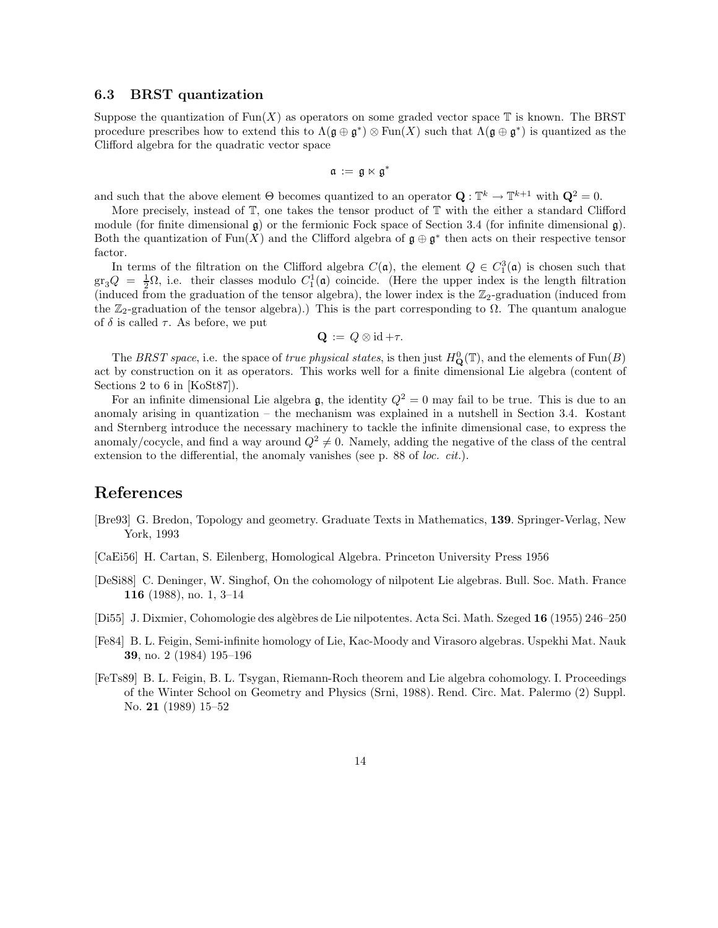#### 6.3 BRST quantization

Suppose the quantization of  $\text{Fun}(X)$  as operators on some graded vector space  $\mathbb T$  is known. The BRST procedure prescribes how to extend this to  $\Lambda(\mathfrak{g} \oplus \mathfrak{g}^*) \otimes \text{Fun}(X)$  such that  $\Lambda(\mathfrak{g} \oplus \mathfrak{g}^*)$  is quantized as the Clifford algebra for the quadratic vector space

$$
\mathfrak{a}\,:=\,\mathfrak{g}\ltimes\mathfrak{g}^*
$$

and such that the above element  $\Theta$  becomes quantized to an operator  $\mathbf{Q}: \mathbb{T}^k \to \mathbb{T}^{k+1}$  with  $\mathbf{Q}^2 = 0$ .

More precisely, instead of  $\mathbb{T}$ , one takes the tensor product of  $\mathbb{T}$  with the either a standard Clifford module (for finite dimensional  $\mathfrak{g}$ ) or the fermionic Fock space of Section 3.4 (for infinite dimensional  $\mathfrak{g}$ ). Both the quantization of Fun(X) and the Clifford algebra of  $\mathfrak{g} \oplus \mathfrak{g}^*$  then acts on their respective tensor factor.

In terms of the filtration on the Clifford algebra  $C(\mathfrak{a})$ , the element  $Q \in C_1^3(\mathfrak{a})$  is chosen such that  $\arg Q = \frac{1}{2}\Omega$ , i.e. their classes modulo  $C_1^1(\mathfrak{a})$  coincide. (Here the upper index is the length filtration (induced from the graduation of the tensor algebra), the lower index is the  $\mathbb{Z}_2$ -graduation (induced from the  $\mathbb{Z}_2$ -graduation of the tensor algebra).) This is the part corresponding to  $\Omega$ . The quantum analogue of  $\delta$  is called  $\tau$ . As before, we put

$$
\mathbf{Q} \,:=\, Q \otimes \mathrm{id} + \tau.
$$

The BRST space, i.e. the space of true physical states, is then just  $H_Q^0(\mathbb{T})$ , and the elements of  $\text{Fun}(B)$ act by construction on it as operators. This works well for a finite dimensional Lie algebra (content of Sections 2 to 6 in [KoSt87]).

For an infinite dimensional Lie algebra  $\mathfrak{g}$ , the identity  $Q^2 = 0$  may fail to be true. This is due to an anomaly arising in quantization – the mechanism was explained in a nutshell in Section 3.4. Kostant and Sternberg introduce the necessary machinery to tackle the infinite dimensional case, to express the anomaly/cocycle, and find a way around  $Q^2 \neq 0$ . Namely, adding the negative of the class of the central extension to the differential, the anomaly vanishes (see p. 88 of loc. cit.).

### References

- [Bre93] G. Bredon, Topology and geometry. Graduate Texts in Mathematics, 139. Springer-Verlag, New York, 1993
- [CaEi56] H. Cartan, S. Eilenberg, Homological Algebra. Princeton University Press 1956
- [DeSi88] C. Deninger, W. Singhof, On the cohomology of nilpotent Lie algebras. Bull. Soc. Math. France 116 (1988), no. 1, 3–14
- [Di55] J. Dixmier, Cohomologie des algèbres de Lie nilpotentes. Acta Sci. Math. Szeged 16 (1955) 246–250
- [Fe84] B. L. Feigin, Semi-infinite homology of Lie, Kac-Moody and Virasoro algebras. Uspekhi Mat. Nauk 39, no. 2 (1984) 195–196
- [FeTs89] B. L. Feigin, B. L. Tsygan, Riemann-Roch theorem and Lie algebra cohomology. I. Proceedings of the Winter School on Geometry and Physics (Srni, 1988). Rend. Circ. Mat. Palermo (2) Suppl. No. 21 (1989) 15–52